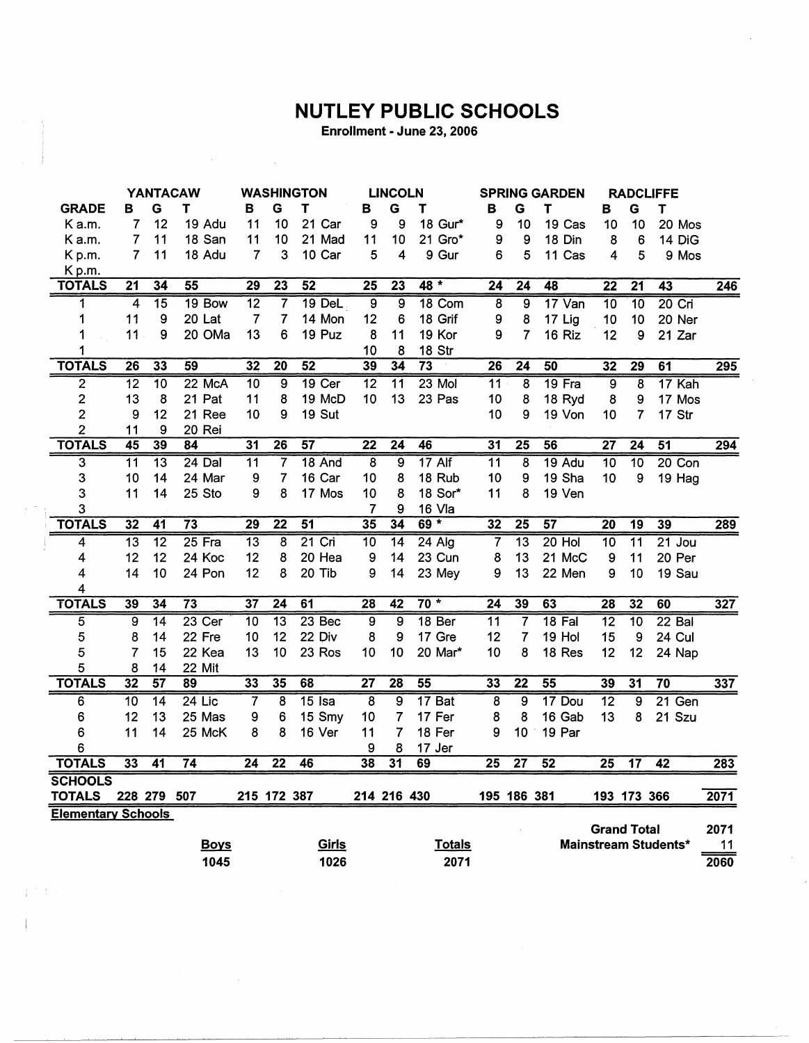## **NUTLEY PUBLIC SCHOOLS**

Enrollment - June 23, 2006

|                           | <b>YANTACAW</b> |                 | <b>WASHINGTON</b> |                 |                 | <b>LINCOLN</b>  |                         |                 | <b>SPRING GARDEN</b> |                  | <b>RADCLIFFE</b>        |          |                    |                 |                      |      |
|---------------------------|-----------------|-----------------|-------------------|-----------------|-----------------|-----------------|-------------------------|-----------------|----------------------|------------------|-------------------------|----------|--------------------|-----------------|----------------------|------|
| <b>GRADE</b>              | В               | G               | т                 | в               | G               | Τ               | в                       | G               | т                    | в                | G                       | Т        | в                  | G               | T                    |      |
| K a.m.                    | $\overline{7}$  | 12              | 19 Adu            | 11              | 10              | 21 Car          | 9                       | 9               | 18 Gur*              | 9                | 10                      | 19 Cas   | 10                 | 10              | 20 Mos               |      |
| K a.m.                    | 7               | 11              | 18 San            | 11              | 10              | 21 Mad          | 11                      | 10              | 21 Gro*              | 9                | 9                       | 18 Din   | 8                  | 6               | 14 DiG               |      |
| Kp.m.                     | $\overline{7}$  | 11              | 18 Adu            | $\overline{7}$  | 3               | 10 Car          | 5                       | 4               | 9 Gur                | 6                | 5                       | 11 Cas   | 4                  | 5               | 9 Mos                |      |
| Kp.m.                     |                 |                 |                   |                 |                 |                 |                         |                 |                      |                  |                         |          |                    |                 |                      |      |
| <b>TOTALS</b>             | 21              | $\overline{34}$ | 55                | 29              | $\overline{23}$ | 52              | $\overline{25}$         | $\overline{23}$ | $48 *$               | $\overline{24}$  | $\overline{24}$         | 48       | $\overline{22}$    | $\overline{21}$ | 43                   | 246  |
| 1                         | 4               | $\overline{15}$ | 19 Bow            | $\overline{12}$ | $\overline{7}$  | 19 DeL          | $\overline{9}$          | $\overline{9}$  | 18 Com               | $\overline{8}$   | $\overline{9}$          | 17 Van   | 10                 | 10              | $20$ Cri             |      |
| 1                         | 11              | 9               | 20 Lat            | $\overline{7}$  | $\overline{7}$  | 14 Mon          | 12                      | 6               | 18 Grif              | $\boldsymbol{9}$ | 8                       | 17 Lig   | 10                 | 10              | 20 Ner               |      |
| 1                         | 11              | 9               | 20 OMa            | 13              | 6               | 19 Puz          | 8                       | 11              | 19 Kor               | 9                | 7                       | 16 Riz   | 12                 | 9               | 21 Zar               |      |
| 1                         |                 |                 |                   |                 |                 |                 | 10                      | 8               | 18 Str               |                  |                         |          |                    |                 |                      |      |
| <b>TOTALS</b>             | $\overline{26}$ | 33              | 59                | 32              | $\overline{20}$ | 52              | 39                      | 34              | $\overline{73}$      | $\overline{26}$  | $\overline{24}$         | 50       | $\overline{32}$    | 29              | 61                   | 295  |
| $\overline{2}$            | $\overline{12}$ | $\overline{10}$ | 22 McA            | 10              | 9               | 19 Cer          | $\overline{12}$         | $\overline{11}$ | $23$ Mol             | $\overline{11}$  | $\overline{\mathbf{8}}$ | $19$ Fra | $\overline{9}$     | $\overline{8}$  | 17 Kah               |      |
| $\overline{\mathbf{c}}$   | 13              | 8               | 21 Pat            | 11              | 8               | 19 McD          | 10                      | 13              | 23 Pas               | 10               | 8                       | 18 Ryd   | 8                  | 9               | 17 Mos               |      |
| $\overline{2}$            | 9               | 12              | 21 Ree            | 10              | 9               | 19 Sut          |                         |                 |                      | 10               | 9                       | 19 Von   | 10                 | 7               | 17 Str               |      |
| $\overline{2}$            | 11              | 9               | 20 Rei            |                 |                 |                 |                         |                 |                      |                  |                         |          |                    |                 |                      |      |
| <b>TOTALS</b>             | 45              | 39              | 84                | $\overline{31}$ | $\overline{26}$ | $\overline{57}$ | $\overline{22}$         | $\overline{24}$ | 46                   | $\overline{31}$  | $\overline{25}$         | 56       | $\overline{27}$    | $\overline{24}$ | $\overline{51}$      | 294  |
| $\overline{3}$            | $\overline{11}$ | $\overline{13}$ | $24$ Dal          | $\overline{11}$ | $\overline{7}$  | 18 And          | $\overline{\mathbf{8}}$ | $\overline{9}$  | $17$ Alf             | $\overline{11}$  | $\overline{\mathbf{8}}$ | 19 Adu   | $\overline{10}$    | 10              | $20$ Con             |      |
| 3                         | 10              | 14              | 24 Mar            | 9               | 7               | 16 Car          | 10                      | 8               | 18 Rub               | 10               | 9                       | 19 Sha   | 10                 | 9               | 19 Hag               |      |
| 3                         | 11              | 14              | 25 Sto            | 9               | 8               | 17 Mos          | 10                      | 8               | 18 Sor*              | 11               | 8                       | 19 Ven   |                    |                 |                      |      |
| 3                         |                 |                 |                   |                 |                 |                 | $\overline{7}$          | 9               | 16 Vla               |                  |                         |          |                    |                 |                      |      |
| <b>TOTALS</b>             | 32              | $\overline{41}$ | $\overline{73}$   | 29              | $\overline{22}$ | 51              | 35                      | 34              | $69*$                | $\overline{32}$  | $\overline{25}$         | 57       | $\overline{20}$    | 19              | $\overline{39}$      | 289  |
| 4                         | $\overline{13}$ | $\overline{12}$ | $25$ Fra          | $\overline{13}$ | 8               | $21$ Cri        | $\overline{10}$         | $\overline{14}$ | $24$ Alg             | 7                | $\overline{13}$         | $20$ Hol | $\overline{10}$    | $\overline{11}$ | $21$ Jou             |      |
| 4                         | 12              | 12              | 24 Koc            | 12              | 8               | 20 Hea          | 9                       | 14              | 23 Cun               | 8                | 13                      | 21 McC   | $\boldsymbol{9}$   | 11              | 20 Per               |      |
| 4                         | 14              | 10              | 24 Pon            | 12              | 8               | 20 Tib          | 9                       | 14              | 23 Mey               | 9                | 13                      | 22 Men   | 9                  | 10              | 19 Sau               |      |
| 4                         |                 |                 |                   |                 |                 |                 |                         |                 |                      |                  |                         |          |                    |                 |                      |      |
| <b>TOTALS</b>             | 39              | 34              | $\overline{73}$   | $\overline{37}$ | $\overline{24}$ | 61              | 28                      | 42              | $70*$                | $\overline{24}$  | 39                      | 63       | $\overline{28}$    | 32              | 60                   | 327  |
| 5                         | 9               | 14              | $23$ Cer          | $\overline{10}$ | $\overline{13}$ | 23 Bec          | $\overline{9}$          | $\overline{9}$  | 18 Ber               | $\overline{11}$  | 7                       | $18$ Fal | $\overline{12}$    | $\overline{10}$ | $22$ Bal             |      |
| 5                         | 8               | 14              | 22 Fre            | 10              | 12              | 22 Div          | 8                       | 9               | 17 Gre               | 12               | $\overline{7}$          | 19 Hol   | 15                 | 9               | 24 Cul               |      |
| 5                         | 7               | 15              | 22 Kea            | 13              | 10              | 23 Ros          | 10                      | 10              | 20 Mar*              | 10               | 8                       | 18 Res   | 12                 | 12              | 24 Nap               |      |
| 5                         | 8               | 14              | 22 Mit            |                 |                 |                 |                         |                 |                      |                  |                         |          |                    |                 |                      |      |
| <b>TOTALS</b>             | $\overline{32}$ | $\overline{57}$ | 89                | 33              | 35              | 68              | $\overline{27}$         | $\overline{28}$ | $\overline{55}$      | 33               | $\overline{22}$         | 55       | 39                 | $\overline{31}$ | $\overline{70}$      | 337  |
| 6                         | $\overline{10}$ | $\overline{14}$ | $24$ Lic          | 7               | $\overline{8}$  | $15$ Isa        | $\overline{8}$          | $\overline{9}$  | 17 Bat               | 8                | 9                       | 17 Dou   | $\overline{12}$    | 9               | $21$ Gen             |      |
| 6                         | 12              | 13              | 25 Mas            | 9               | 6               | 15 Smy          | 10                      | 7               | 17 Fer               | 8                | 8                       | 16 Gab   | 13                 | 8               | 21 Szu               |      |
| 6                         | 11              | 14              | 25 McK            | 8               | 8               | 16 Ver          | 11                      | $\overline{7}$  | 18 Fer               | 9                | 10                      | 19 Par   |                    |                 |                      |      |
| 6                         |                 |                 |                   |                 |                 |                 | 9                       | 8               | 17 Jer               |                  |                         |          |                    |                 |                      |      |
| <b>TOTALS</b>             | 33              | $\overline{41}$ | $\overline{74}$   | $\overline{24}$ | $\overline{22}$ | 46              | 38                      | $\overline{31}$ | 69                   | $\overline{25}$  | $\overline{27}$         | 52       | $\overline{25}$    | $\overline{17}$ | $\overline{42}$      | 283  |
| <b>SCHOOLS</b>            |                 |                 |                   |                 |                 |                 |                         |                 |                      |                  |                         |          |                    |                 |                      |      |
| <b>TOTALS</b>             |                 | 228 279         | 507               |                 | 215 172 387     |                 | 214 216 430             |                 |                      |                  | 195 186 381             |          |                    | 193 173 366     |                      | 2071 |
| <b>Elementary Schools</b> |                 |                 |                   |                 |                 |                 |                         |                 |                      |                  |                         |          |                    |                 |                      |      |
|                           |                 |                 |                   |                 |                 |                 |                         |                 |                      |                  |                         |          | <b>Grand Total</b> |                 |                      | 2071 |
|                           |                 |                 | <b>Boys</b>       |                 |                 | Girls           |                         |                 | <b>Totals</b>        |                  |                         |          |                    |                 | Mainstream Students* | 11   |
|                           |                 |                 | 1045              |                 |                 | 1026            |                         |                 | 2071                 |                  |                         |          |                    |                 |                      | 2060 |